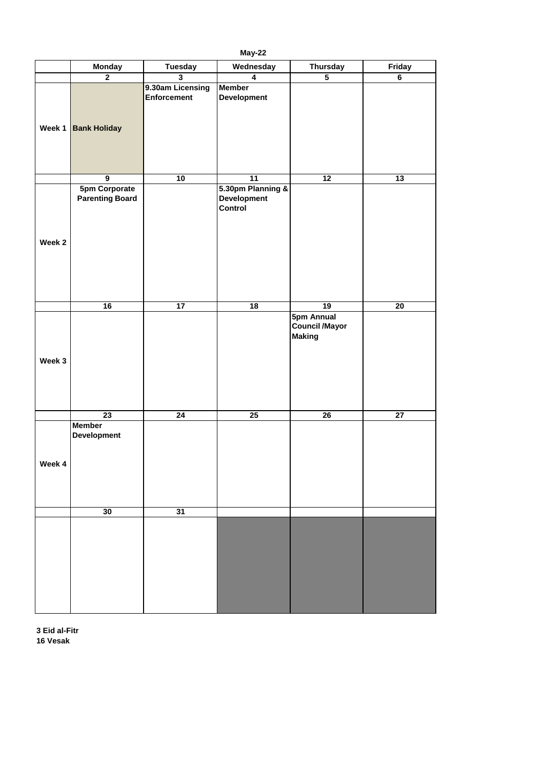|        | <b>Monday</b>                                  | <b>Tuesday</b>                         | Wednesday                                                 | <b>Thursday</b>                                             | <b>Friday</b>   |
|--------|------------------------------------------------|----------------------------------------|-----------------------------------------------------------|-------------------------------------------------------------|-----------------|
|        | $\overline{2}$                                 | $\overline{\mathbf{3}}$                | $\overline{\mathbf{4}}$                                   | 5                                                           | $6\phantom{a}$  |
| Week 1 | <b>Bank Holiday</b>                            | 9.30am Licensing<br><b>Enforcement</b> | Member<br><b>Development</b>                              |                                                             |                 |
|        | $\overline{9}$                                 | 10                                     | $\overline{11}$                                           | 12                                                          | $\overline{13}$ |
| Week 2 | <b>5pm Corporate</b><br><b>Parenting Board</b> |                                        | 5.30pm Planning &<br><b>Development</b><br><b>Control</b> |                                                             |                 |
|        |                                                |                                        |                                                           |                                                             |                 |
|        | $\overline{16}$                                | 17                                     | 18                                                        | $\overline{19}$                                             | 20              |
| Week 3 |                                                |                                        |                                                           | <b>5pm Annual</b><br><b>Council /Mayor</b><br><b>Making</b> |                 |
|        | 23                                             | 24                                     | 25                                                        | 26                                                          | 27              |
| Week 4 | <b>Member</b><br><b>Development</b>            |                                        |                                                           |                                                             |                 |
|        | 30                                             | 31                                     |                                                           |                                                             |                 |
|        |                                                |                                        |                                                           |                                                             |                 |

**May-22**

**3 Eid al-Fitr 16 Vesak**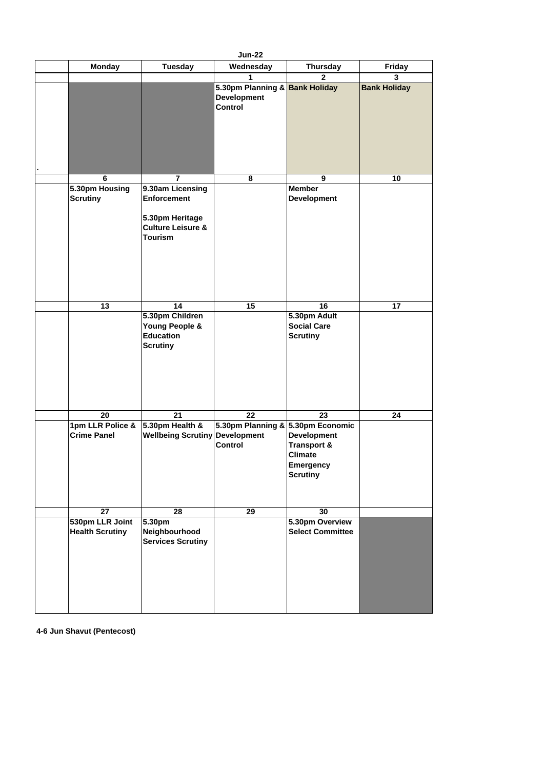|                 |                                           |                                                                                                             | <b>Jun-22</b>                                                          |                                                                                                       |                     |
|-----------------|-------------------------------------------|-------------------------------------------------------------------------------------------------------------|------------------------------------------------------------------------|-------------------------------------------------------------------------------------------------------|---------------------|
|                 | <b>Monday</b>                             | <b>Tuesday</b>                                                                                              | Wednesday                                                              | <b>Thursday</b>                                                                                       | <b>Friday</b>       |
|                 |                                           |                                                                                                             | 1                                                                      | $\overline{2}$                                                                                        | 3                   |
|                 |                                           |                                                                                                             | 5.30pm Planning & Bank Holiday<br><b>Development</b><br><b>Control</b> |                                                                                                       | <b>Bank Holiday</b> |
|                 |                                           |                                                                                                             |                                                                        |                                                                                                       |                     |
|                 | 6                                         | $\overline{7}$                                                                                              | 8                                                                      | 9                                                                                                     | 10                  |
| <b>Scrutiny</b> | 5.30pm Housing                            | 9.30am Licensing<br><b>Enforcement</b><br>5.30pm Heritage<br><b>Culture Leisure &amp;</b><br><b>Tourism</b> |                                                                        | <b>Member</b><br><b>Development</b>                                                                   |                     |
|                 | 13                                        | 14                                                                                                          | 15                                                                     | 16                                                                                                    | 17                  |
|                 |                                           | 5.30pm Children<br><b>Young People &amp;</b><br><b>Education</b><br><b>Scrutiny</b>                         |                                                                        | 5.30pm Adult<br><b>Social Care</b><br><b>Scrutiny</b>                                                 |                     |
|                 | 20                                        | 21                                                                                                          | 22                                                                     | 23                                                                                                    | 24                  |
|                 | 1pm LLR Police &<br><b>Crime Panel</b>    | 5.30pm Health $\&$<br><b>Wellbeing Scrutiny Development</b>                                                 | 5.30pm Planning & 5.30pm Economic<br><b>Control</b>                    | <b>Development</b><br><b>Transport &amp;</b><br><b>Climate</b><br><b>Emergency</b><br><b>Scrutiny</b> |                     |
|                 |                                           |                                                                                                             |                                                                        |                                                                                                       |                     |
|                 | 27                                        | 28                                                                                                          | 29                                                                     | 30                                                                                                    |                     |
|                 | 530pm LLR Joint<br><b>Health Scrutiny</b> | 5.30pm<br>Neighbourhood<br><b>Services Scrutiny</b>                                                         |                                                                        | 5.30pm Overview<br><b>Select Committee</b>                                                            |                     |

**4-6 Jun Shavut (Pentecost)**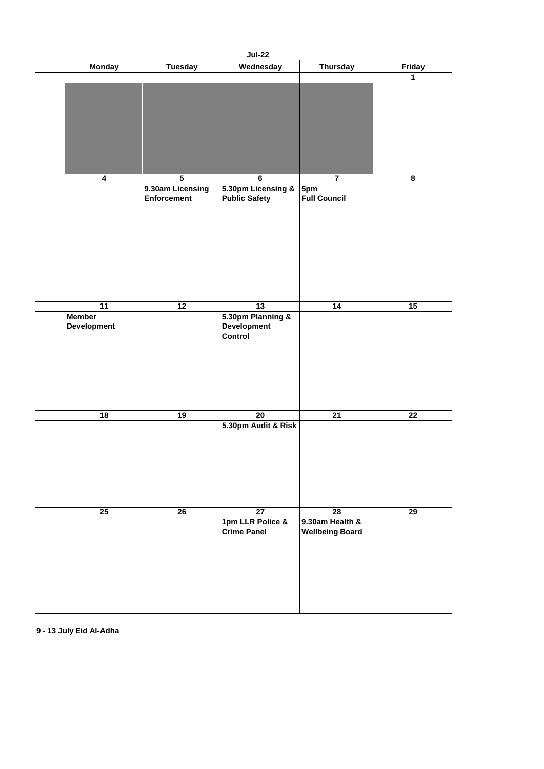|                                     |                                        | <b>Jul-22</b>                                             |                                           |               |
|-------------------------------------|----------------------------------------|-----------------------------------------------------------|-------------------------------------------|---------------|
| <b>Monday</b>                       | <b>Tuesday</b>                         | Wednesday                                                 | <b>Thursday</b>                           | <b>Friday</b> |
|                                     |                                        |                                                           |                                           | 1             |
|                                     |                                        |                                                           |                                           |               |
| $\overline{\mathbf{4}}$             | $\overline{\mathbf{5}}$                | $6\phantom{1}6$                                           | $\overline{7}$                            | 8             |
|                                     | 9.30am Licensing<br><b>Enforcement</b> | 5.30pm Licensing &<br><b>Public Safety</b>                | 5pm<br><b>Full Council</b>                |               |
| 11                                  | 12                                     | 13                                                        | 14                                        | 15            |
| <b>Member</b><br><b>Development</b> |                                        | 5.30pm Planning &<br><b>Development</b><br><b>Control</b> |                                           |               |
| 18                                  | 19                                     | 20                                                        | 21                                        | 22            |
|                                     |                                        | 5.30pm Audit & Risk                                       |                                           |               |
| 25                                  | 26                                     | 27                                                        | 28                                        | 29            |
|                                     |                                        | 1pm LLR Police &<br><b>Crime Panel</b>                    | 9.30am Health &<br><b>Wellbeing Board</b> |               |

**9 - 13 July Eid Al-Adha**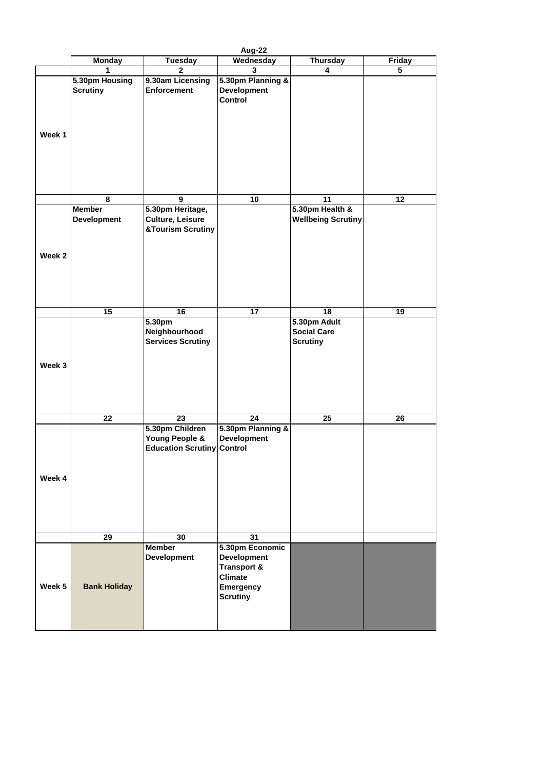|                   |                                     |                                                                                   | Aug-22                                                                                                                   |                                                       |        |
|-------------------|-------------------------------------|-----------------------------------------------------------------------------------|--------------------------------------------------------------------------------------------------------------------------|-------------------------------------------------------|--------|
|                   | <b>Monday</b>                       | <b>Tuesday</b>                                                                    | Wednesday                                                                                                                | <b>Thursday</b>                                       | Friday |
|                   | 1                                   | $\overline{2}$                                                                    | $\mathbf{3}$                                                                                                             | $\overline{\mathbf{4}}$                               | 5      |
| Week 1            | 5.30pm Housing<br><b>Scrutiny</b>   | 9.30am Licensing<br><b>Enforcement</b>                                            | 5.30pm Planning &<br><b>Development</b><br><b>Control</b>                                                                |                                                       |        |
|                   |                                     |                                                                                   |                                                                                                                          |                                                       |        |
|                   | 8                                   | 9                                                                                 | 10                                                                                                                       | 11                                                    | 12     |
|                   | <b>Member</b><br><b>Development</b> | 5.30pm Heritage,<br><b>Culture, Leisure</b><br><b>&amp;Tourism Scrutiny</b>       |                                                                                                                          | 5.30pm Health &<br><b>Wellbeing Scrutiny</b>          |        |
| Week <sub>2</sub> |                                     |                                                                                   |                                                                                                                          |                                                       |        |
|                   | 15                                  | 16                                                                                | 17                                                                                                                       | 18                                                    | 19     |
| Week 3            |                                     | 5.30pm<br>Neighbourhood<br><b>Services Scrutiny</b>                               |                                                                                                                          | 5.30pm Adult<br><b>Social Care</b><br><b>Scrutiny</b> |        |
|                   | 22                                  | 23                                                                                | 24                                                                                                                       | 25                                                    | 26     |
| Week 4            |                                     | 5.30pm Children<br><b>Young People &amp;</b><br><b>Education Scrutiny Control</b> | 5.30pm Planning &<br><b>Development</b>                                                                                  |                                                       |        |
|                   | 29                                  | 30                                                                                | 31                                                                                                                       |                                                       |        |
| Week 5            | <b>Bank Holiday</b>                 | <b>Member</b><br><b>Development</b>                                               | 5.30pm Economic<br><b>Development</b><br><b>Transport &amp;</b><br><b>Climate</b><br><b>Emergency</b><br><b>Scrutiny</b> |                                                       |        |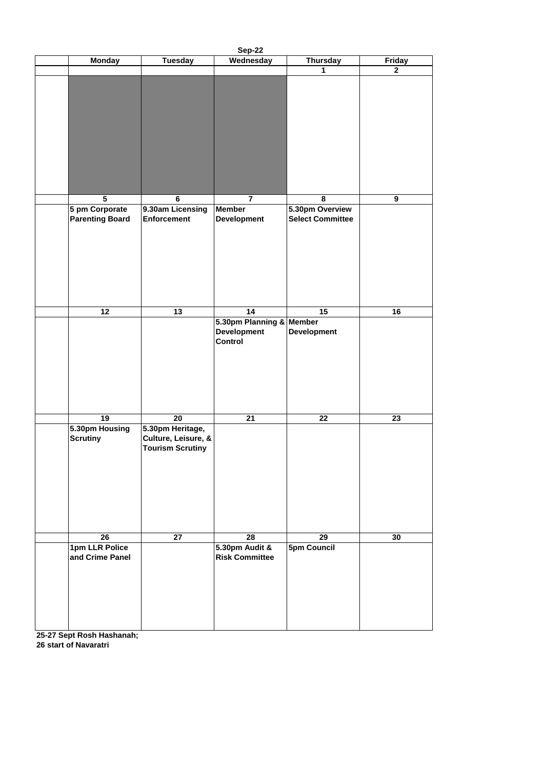|                 |                                          |                                                                    | <b>Sep-22</b>                                                    |                                            |               |
|-----------------|------------------------------------------|--------------------------------------------------------------------|------------------------------------------------------------------|--------------------------------------------|---------------|
|                 | <b>Monday</b>                            | <b>Tuesday</b>                                                     | Wednesday                                                        | <b>Thursday</b>                            | <b>Friday</b> |
|                 |                                          |                                                                    |                                                                  | $\mathbf 1$                                | $\mathbf{2}$  |
|                 |                                          |                                                                    |                                                                  |                                            |               |
|                 | $\overline{\mathbf{5}}$                  | $6\phantom{a}$                                                     | $\overline{7}$                                                   | 8                                          | 9             |
|                 | 5 pm Corporate<br><b>Parenting Board</b> | 9.30am Licensing<br><b>Enforcement</b>                             | <b>Member</b><br><b>Development</b>                              | 5.30pm Overview<br><b>Select Committee</b> |               |
|                 | 12                                       | 13                                                                 | 14                                                               | 15                                         | 16            |
|                 |                                          |                                                                    | 5.30pm Planning & Member<br><b>Development</b><br><b>Control</b> | <b>Development</b>                         |               |
|                 | 19                                       | 20                                                                 | 21                                                               | 22                                         | 23            |
| <b>Scrutiny</b> | 5.30pm Housing                           | 5.30pm Heritage,<br>Culture, Leisure, &<br><b>Tourism Scrutiny</b> |                                                                  |                                            |               |
|                 | 26                                       | 27                                                                 | 28                                                               | 29                                         | 30            |
|                 | 1pm LLR Police<br>and Crime Panel        |                                                                    | 5.30pm Audit &<br><b>Risk Committee</b>                          | <b>5pm Council</b>                         |               |

**25-27 Sept Rosh Hashanah; 26 start of Navaratri**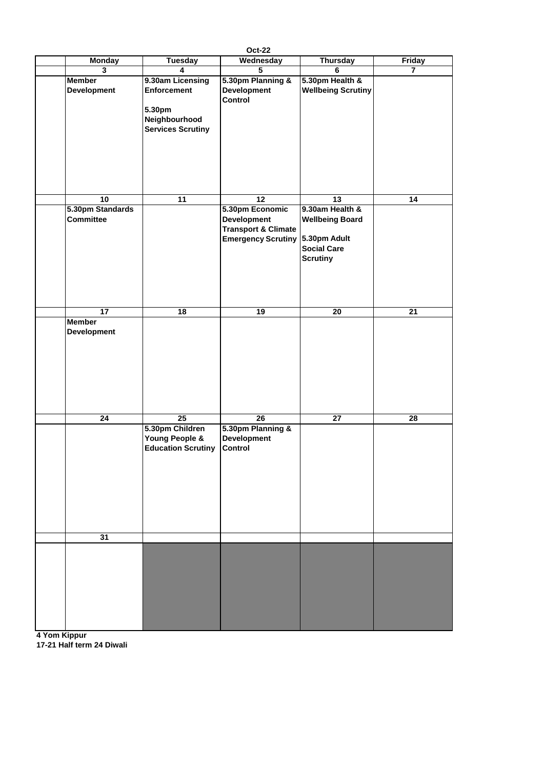|                                     |                                                                                               | <b>Oct-22</b>                                                                     |                                                                                 |                |
|-------------------------------------|-----------------------------------------------------------------------------------------------|-----------------------------------------------------------------------------------|---------------------------------------------------------------------------------|----------------|
| <b>Monday</b>                       | <b>Tuesday</b>                                                                                | Wednesday                                                                         | <b>Thursday</b>                                                                 | <b>Friday</b>  |
| $\mathbf{3}$                        | $\overline{\mathbf{4}}$                                                                       | $5\phantom{.0}$                                                                   | 6                                                                               | $\overline{7}$ |
| <b>Member</b><br><b>Development</b> | 9.30am Licensing<br><b>Enforcement</b><br>5.30pm<br>Neighbourhood<br><b>Services Scrutiny</b> | 5.30pm Planning &<br><b>Development</b><br><b>Control</b>                         | 5.30pm Health &<br><b>Wellbeing Scrutiny</b>                                    |                |
| 10                                  | 11                                                                                            | 12                                                                                | 13                                                                              | 14             |
| 5.30pm Standards                    |                                                                                               | 5.30pm Economic                                                                   | 9.30am Health &                                                                 |                |
| <b>Committee</b>                    |                                                                                               | <b>Development</b><br><b>Transport &amp; Climate</b><br><b>Emergency Scrutiny</b> | <b>Wellbeing Board</b><br>5.30pm Adult<br><b>Social Care</b><br><b>Scrutiny</b> |                |
| 17                                  | 18                                                                                            | 19                                                                                | 20                                                                              | 21             |
| <b>Member</b><br><b>Development</b> |                                                                                               |                                                                                   |                                                                                 |                |
|                                     |                                                                                               |                                                                                   |                                                                                 |                |
| 24                                  | 25                                                                                            | 26                                                                                | 27                                                                              | 28             |
|                                     | 5.30pm Children<br>Young People &<br><b>Education Scrutiny</b>                                | 5.30pm Planning &<br><b>Development</b><br><b>Control</b>                         |                                                                                 |                |
| 31                                  |                                                                                               |                                                                                   |                                                                                 |                |
|                                     |                                                                                               |                                                                                   |                                                                                 |                |

**4 Yom Kippur 17-21 Half term 24 Diwali**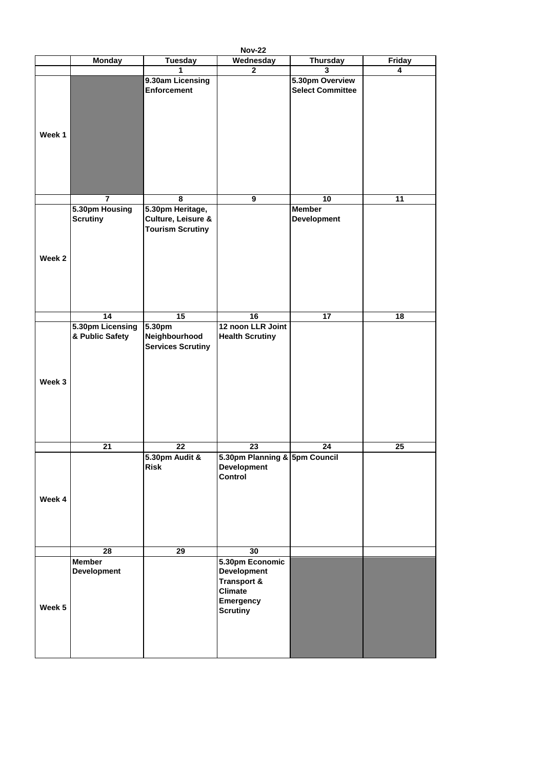|        |                                     |                                                                              | <b>Nov-22</b>                                                                                                            |                                            |                         |
|--------|-------------------------------------|------------------------------------------------------------------------------|--------------------------------------------------------------------------------------------------------------------------|--------------------------------------------|-------------------------|
|        | <b>Monday</b>                       | <b>Tuesday</b>                                                               | Wednesday                                                                                                                | <b>Thursday</b>                            | <b>Friday</b>           |
|        |                                     | 1                                                                            | $\overline{2}$                                                                                                           | $\overline{3}$                             | $\overline{\mathbf{4}}$ |
|        |                                     | 9.30am Licensing<br><b>Enforcement</b>                                       |                                                                                                                          | 5.30pm Overview<br><b>Select Committee</b> |                         |
| Week 1 |                                     |                                                                              |                                                                                                                          |                                            |                         |
|        | $\overline{7}$                      | 8                                                                            | 9                                                                                                                        | 10                                         | 11                      |
| Week 2 | 5.30pm Housing<br><b>Scrutiny</b>   | 5.30pm Heritage,<br><b>Culture, Leisure &amp;</b><br><b>Tourism Scrutiny</b> |                                                                                                                          | <b>Member</b><br><b>Development</b>        |                         |
|        | 14                                  | 15                                                                           | 16                                                                                                                       | 17                                         | 18                      |
|        | 5.30pm Licensing<br>& Public Safety | 5.30pm<br>Neighbourhood<br><b>Services Scrutiny</b>                          | 12 noon LLR Joint<br><b>Health Scrutiny</b>                                                                              |                                            |                         |
| Week 3 |                                     |                                                                              |                                                                                                                          |                                            |                         |
|        | 21                                  | 22                                                                           | 23                                                                                                                       | 24                                         | $25\phantom{.0}$        |
| Week 4 |                                     | 5.30pm Audit &<br><b>Risk</b>                                                | 5.30pm Planning & 5pm Council<br><b>Development</b><br><b>Control</b>                                                    |                                            |                         |
|        | 28                                  |                                                                              |                                                                                                                          |                                            |                         |
|        |                                     | 29                                                                           | 30                                                                                                                       |                                            |                         |
| Week 5 | <b>Member</b><br><b>Development</b> |                                                                              | 5.30pm Economic<br><b>Development</b><br><b>Transport &amp;</b><br><b>Climate</b><br><b>Emergency</b><br><b>Scrutiny</b> |                                            |                         |
|        |                                     |                                                                              |                                                                                                                          |                                            |                         |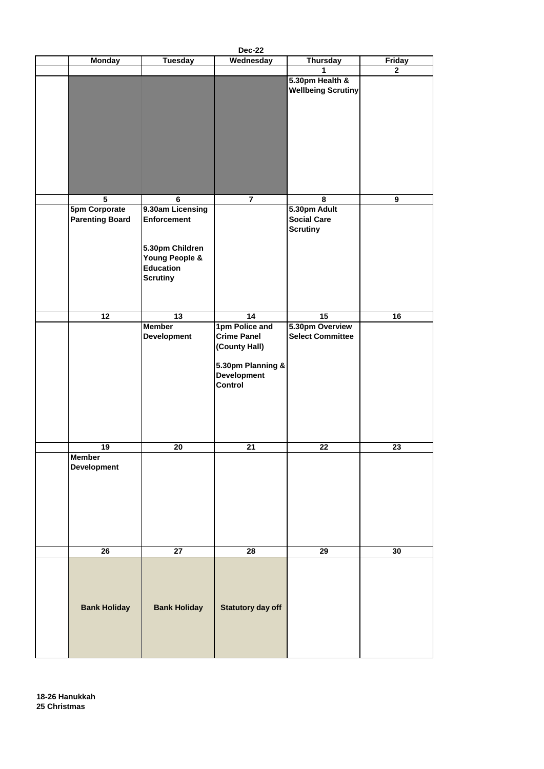| <b>Dec-22</b>                                  |                                                                      |                                                                                                                    |                                                       |                 |
|------------------------------------------------|----------------------------------------------------------------------|--------------------------------------------------------------------------------------------------------------------|-------------------------------------------------------|-----------------|
| <b>Monday</b>                                  | <b>Tuesday</b>                                                       | Wednesday                                                                                                          | <b>Thursday</b>                                       | <b>Friday</b>   |
|                                                |                                                                      |                                                                                                                    | 1                                                     | $\mathbf{2}$    |
|                                                |                                                                      |                                                                                                                    | 5.30pm Health &<br><b>Wellbeing Scrutiny</b>          |                 |
| $\overline{5}$                                 | $6\phantom{1}$                                                       | $\overline{7}$                                                                                                     | 8                                                     | 9               |
|                                                |                                                                      |                                                                                                                    |                                                       |                 |
| <b>5pm Corporate</b><br><b>Parenting Board</b> | 9.30am Licensing<br>Enforcement<br>5.30pm Children<br>Young People & |                                                                                                                    | 5.30pm Adult<br><b>Social Care</b><br><b>Scrutiny</b> |                 |
|                                                | <b>Education</b><br><b>Scrutiny</b>                                  |                                                                                                                    |                                                       |                 |
|                                                |                                                                      |                                                                                                                    |                                                       |                 |
| 12                                             | $\overline{13}$                                                      | 14                                                                                                                 | $\overline{15}$                                       | 16              |
|                                                | <b>Member</b><br><b>Development</b>                                  | 1pm Police and<br><b>Crime Panel</b><br>(County Hall)<br>5.30pm Planning &<br><b>Development</b><br><b>Control</b> | 5.30pm Overview<br><b>Select Committee</b>            |                 |
| 19                                             | 20                                                                   | 21                                                                                                                 | $\overline{22}$                                       | $\overline{23}$ |
| <b>Member</b><br><b>Development</b>            |                                                                      |                                                                                                                    |                                                       |                 |
| 26                                             | 27                                                                   | 28                                                                                                                 | 29                                                    | 30              |

| <b>Bank Holiday</b> | <b>Bank Holiday</b> | <b>Statutory day off</b> |  |
|---------------------|---------------------|--------------------------|--|
|                     |                     |                          |  |

**18-26 Hanukkah 25 Christmas**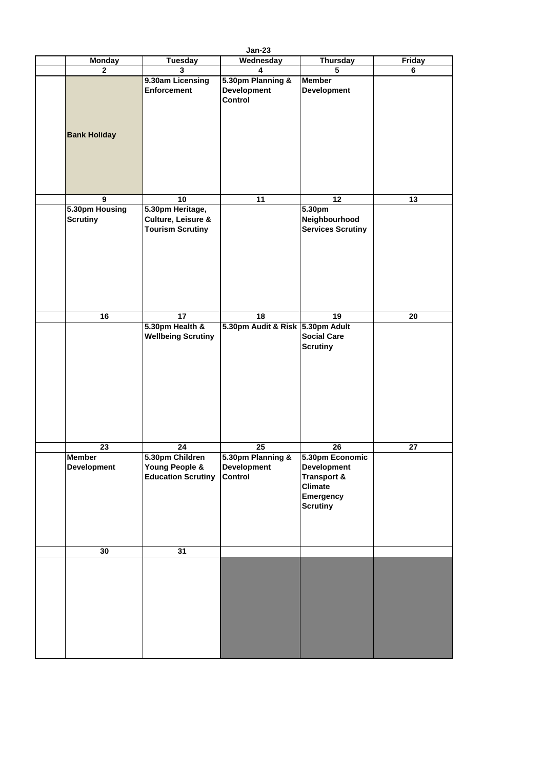| <b>Jan-23</b>                       |                                                                              |                                                           |                                                                                                                          |                 |  |
|-------------------------------------|------------------------------------------------------------------------------|-----------------------------------------------------------|--------------------------------------------------------------------------------------------------------------------------|-----------------|--|
| <b>Monday</b>                       | <b>Tuesday</b>                                                               | Wednesday                                                 | <b>Thursday</b>                                                                                                          | <b>Friday</b>   |  |
| 2 <sup>1</sup>                      | $\mathbf{3}$                                                                 | $\overline{\mathbf{4}}$                                   | $\overline{5}$                                                                                                           | $6\phantom{a}$  |  |
| <b>Bank Holiday</b>                 | 9.30am Licensing<br><b>Enforcement</b>                                       | 5.30pm Planning &<br><b>Development</b><br><b>Control</b> | <b>Member</b><br><b>Development</b>                                                                                      |                 |  |
| 9                                   | 10                                                                           | 11                                                        | 12                                                                                                                       | 13              |  |
| 5.30pm Housing<br><b>Scrutiny</b>   | 5.30pm Heritage,<br><b>Culture, Leisure &amp;</b><br><b>Tourism Scrutiny</b> |                                                           | 5.30pm<br>Neighbourhood<br><b>Services Scrutiny</b>                                                                      |                 |  |
| 16                                  | 17                                                                           | 18                                                        | 19                                                                                                                       | 20              |  |
|                                     | 5.30pm Health &<br><b>Wellbeing Scrutiny</b>                                 | 5.30pm Audit & Risk 5.30pm Adult                          | <b>Social Care</b><br><b>Scrutiny</b>                                                                                    |                 |  |
| $\overline{23}$                     | $\overline{24}$                                                              | $\overline{25}$                                           | $\overline{26}$                                                                                                          | $\overline{27}$ |  |
| <b>Member</b><br><b>Development</b> | 5.30pm Children<br>Young People &<br><b>Education Scrutiny</b>               | 5.30pm Planning &<br><b>Development</b><br><b>Control</b> | 5.30pm Economic<br><b>Development</b><br><b>Transport &amp;</b><br><b>Climate</b><br><b>Emergency</b><br><b>Scrutiny</b> |                 |  |
|                                     |                                                                              |                                                           |                                                                                                                          |                 |  |
| 30                                  | 31                                                                           |                                                           |                                                                                                                          |                 |  |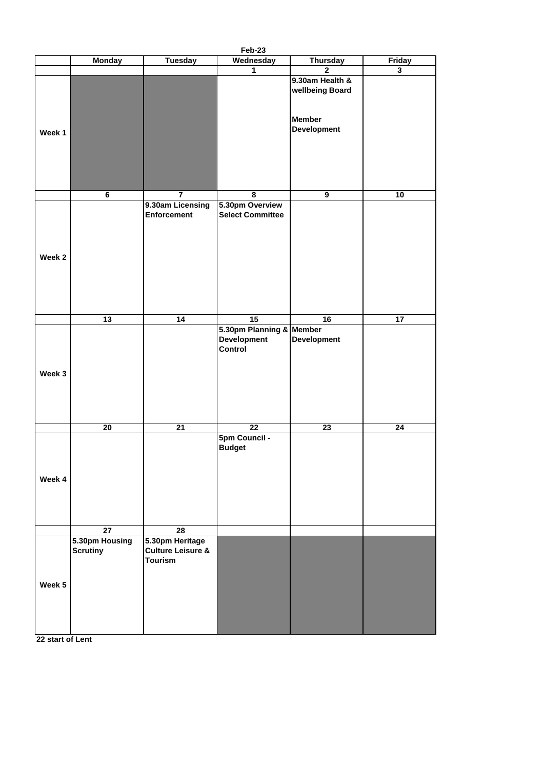|        |                                   |                                                                   | Feb-23                                     |                                                                           |                |
|--------|-----------------------------------|-------------------------------------------------------------------|--------------------------------------------|---------------------------------------------------------------------------|----------------|
|        | <b>Monday</b>                     | <b>Tuesday</b>                                                    | Wednesday                                  | <b>Thursday</b>                                                           | <b>Friday</b>  |
|        |                                   |                                                                   | $\mathbf 1$                                | $\overline{2}$                                                            | $\overline{3}$ |
| Week 1 |                                   |                                                                   |                                            | 9.30am Health &<br>wellbeing Board<br><b>Member</b><br><b>Development</b> |                |
|        | $6\phantom{a}$                    | $\overline{7}$                                                    | 8                                          | 9                                                                         | 10             |
| Week 2 |                                   | 9.30am Licensing<br>Enforcement                                   | 5.30pm Overview<br><b>Select Committee</b> |                                                                           |                |
|        | $\overline{13}$                   | 14                                                                | $\overline{15}$                            | 16                                                                        | 17             |
|        |                                   |                                                                   | 5.30pm Planning & Member                   |                                                                           |                |
| Week 3 |                                   |                                                                   | <b>Development</b><br><b>Control</b>       | <b>Development</b>                                                        |                |
|        | 20                                | $\overline{21}$                                                   | $\overline{22}$                            | 23                                                                        | 24             |
| Week 4 |                                   |                                                                   | <b>5pm Council -</b><br><b>Budget</b>      |                                                                           |                |
|        | $\overline{27}$                   | $\overline{28}$                                                   |                                            |                                                                           |                |
|        | 5.30pm Housing<br><b>Scrutiny</b> | 5.30pm Heritage<br><b>Culture Leisure &amp;</b><br><b>Tourism</b> |                                            |                                                                           |                |

| Week $5$ |  |  |  |
|----------|--|--|--|
|          |  |  |  |
|          |  |  |  |
|          |  |  |  |
|          |  |  |  |

**22 start of Lent**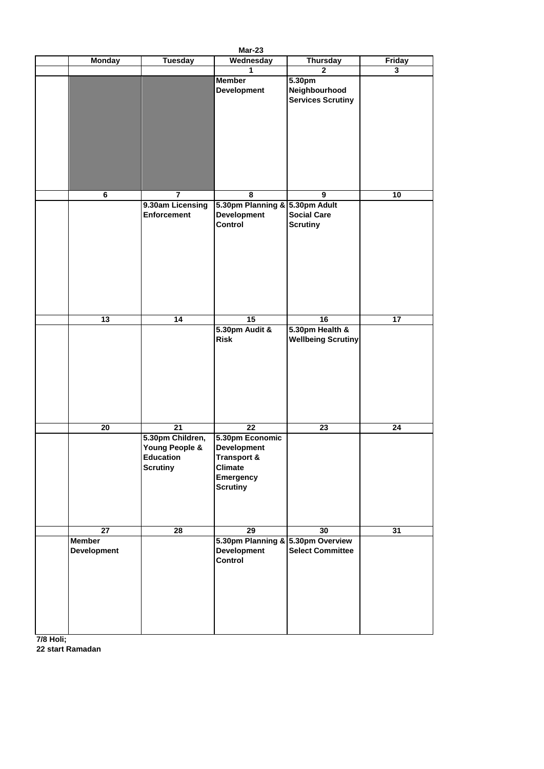|                                     |                                                                                 | <b>Mar-23</b>                                                                                                                  |                                                     |                         |
|-------------------------------------|---------------------------------------------------------------------------------|--------------------------------------------------------------------------------------------------------------------------------|-----------------------------------------------------|-------------------------|
| <b>Monday</b>                       | <b>Tuesday</b>                                                                  | Wednesday                                                                                                                      | <b>Thursday</b>                                     | <b>Friday</b>           |
|                                     |                                                                                 | 1                                                                                                                              | 2 <sup>1</sup>                                      | $\overline{\mathbf{3}}$ |
|                                     |                                                                                 | <b>Member</b><br><b>Development</b>                                                                                            | 5.30pm<br>Neighbourhood<br><b>Services Scrutiny</b> |                         |
|                                     |                                                                                 |                                                                                                                                |                                                     |                         |
| $6\phantom{1}$                      | $\overline{7}$                                                                  | 8                                                                                                                              | 9                                                   | 10                      |
|                                     | 9.30am Licensing<br><b>Enforcement</b>                                          | 5.30pm Planning & 5.30pm Adult<br><b>Development</b><br><b>Control</b>                                                         | <b>Social Care</b><br><b>Scrutiny</b>               |                         |
| 13                                  | 14                                                                              | 15                                                                                                                             | 16                                                  | 17                      |
|                                     |                                                                                 | 5.30pm Audit &<br>Risk                                                                                                         | 5.30pm Health &<br><b>Wellbeing Scrutiny</b>        |                         |
| 20                                  | 21<br>5.30pm Children,<br>Young People &<br><b>Education</b><br><b>Scrutiny</b> | 22<br>5.30pm Economic<br><b>Development</b><br><b>Transport &amp;</b><br><b>Climate</b><br><b>Emergency</b><br><b>Scrutiny</b> | 23                                                  | 24                      |
| 27                                  | 28                                                                              | 29                                                                                                                             | 30                                                  | 31                      |
| <b>Member</b><br><b>Development</b> |                                                                                 | 5.30pm Planning & 5.30pm Overview<br><b>Development</b><br><b>Control</b>                                                      | <b>Select Committee</b>                             |                         |

**7/8 Holi; 22 start Ramadan**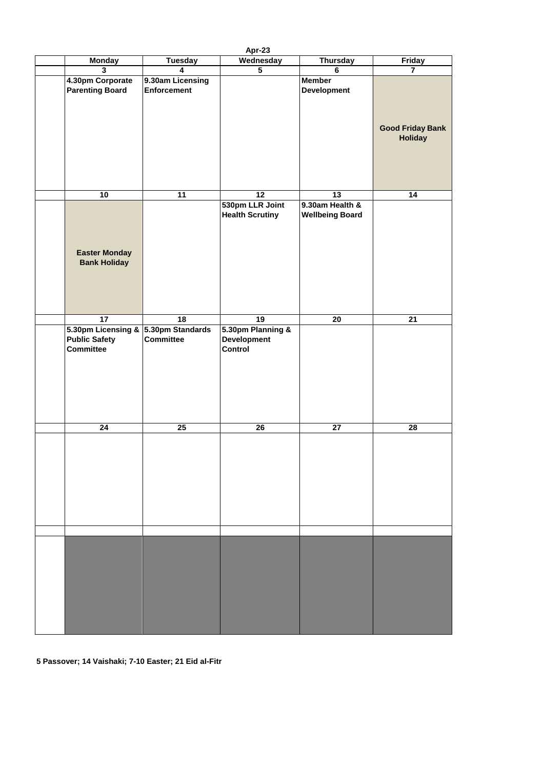| Apr-23                                      |                                        |                                           |                                           |                                           |
|---------------------------------------------|----------------------------------------|-------------------------------------------|-------------------------------------------|-------------------------------------------|
| <b>Monday</b>                               | <b>Tuesday</b>                         | Wednesday                                 | <b>Thursday</b>                           | <b>Friday</b>                             |
| $\overline{3}$                              | $\overline{\mathbf{4}}$                | $\overline{5}$                            | $6\phantom{a}$                            | $\overline{7}$                            |
| 4.30pm Corporate<br><b>Parenting Board</b>  | 9.30am Licensing<br><b>Enforcement</b> |                                           | <b>Member</b><br><b>Development</b>       |                                           |
|                                             |                                        |                                           |                                           | <b>Good Friday Bank</b><br><b>Holiday</b> |
| 10                                          | 11                                     | $\overline{12}$                           | $\overline{13}$                           | 14                                        |
|                                             |                                        |                                           |                                           |                                           |
|                                             |                                        | 530pm LLR Joint<br><b>Health Scrutiny</b> | 9.30am Health &<br><b>Wellbeing Board</b> |                                           |
| <b>Easter Monday</b><br><b>Bank Holiday</b> |                                        |                                           |                                           |                                           |
|                                             |                                        |                                           |                                           |                                           |
| 17                                          | $\overline{18}$                        | $\overline{19}$                           | 20                                        | $\overline{21}$                           |
| 5.30pm Licensing & 5.30pm Standards         |                                        | 5.30pm Planning &                         |                                           |                                           |
| <b>Public Safety</b>                        | <b>Committee</b>                       | <b>Development</b>                        |                                           |                                           |
| <b>Committee</b>                            |                                        | <b>Control</b>                            |                                           |                                           |
|                                             |                                        |                                           |                                           |                                           |
|                                             |                                        |                                           |                                           |                                           |
|                                             |                                        |                                           |                                           |                                           |
|                                             |                                        |                                           |                                           |                                           |
|                                             |                                        |                                           |                                           |                                           |
|                                             |                                        |                                           |                                           |                                           |
| $\overline{24}$                             | 25                                     | $\overline{26}$                           | $\overline{27}$                           | 28                                        |
|                                             |                                        |                                           |                                           |                                           |
|                                             |                                        |                                           |                                           |                                           |
|                                             |                                        |                                           |                                           |                                           |
|                                             |                                        |                                           |                                           |                                           |
|                                             |                                        |                                           |                                           |                                           |
|                                             |                                        |                                           |                                           |                                           |
|                                             |                                        |                                           |                                           |                                           |
|                                             |                                        |                                           |                                           |                                           |
|                                             |                                        |                                           |                                           |                                           |
|                                             |                                        |                                           |                                           |                                           |
|                                             |                                        |                                           |                                           |                                           |
|                                             |                                        |                                           |                                           |                                           |
|                                             |                                        |                                           |                                           |                                           |



**5 Passover; 14 Vaishaki; 7-10 Easter; 21 Eid al-Fitr**